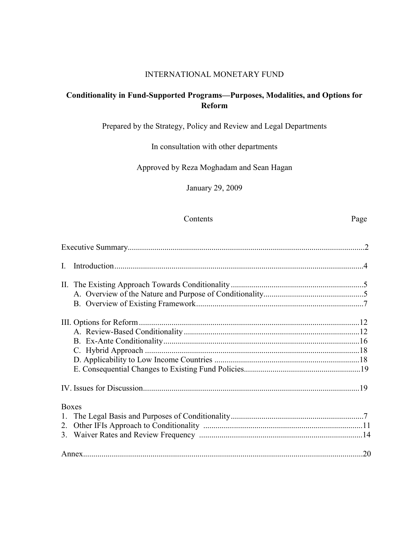#### INTERNATIONAL MONETARY FUND

## **Conditionality in Fund-Supported Programs—Purposes, Modalities, and Options for Reform**

Prepared by the Strategy, Policy and Review and Legal Departments

In consultation with other departments

Approved by Reza Moghadam and Sean Hagan

January 29, 2009

#### Contents Page

| $\mathbf{L}$ |  |
|--------------|--|
|              |  |
|              |  |
|              |  |
|              |  |
|              |  |
|              |  |
|              |  |
|              |  |
|              |  |
|              |  |
| <b>Boxes</b> |  |
|              |  |
|              |  |
|              |  |
|              |  |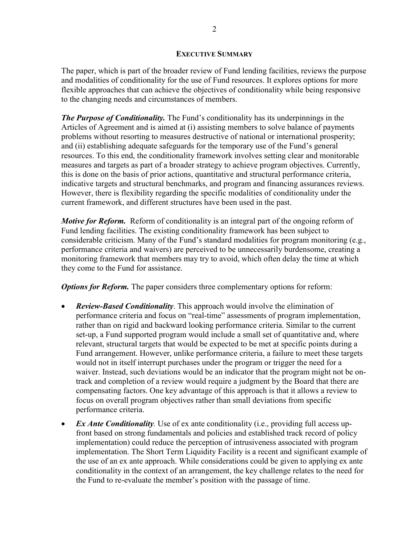#### **EXECUTIVE SUMMARY**

The paper, which is part of the broader review of Fund lending facilities, reviews the purpose and modalities of conditionality for the use of Fund resources. It explores options for more flexible approaches that can achieve the objectives of conditionality while being responsive to the changing needs and circumstances of members.

*The Purpose of Conditionality.* The Fund's conditionality has its underpinnings in the Articles of Agreement and is aimed at (i) assisting members to solve balance of payments problems without resorting to measures destructive of national or international prosperity; and (ii) establishing adequate safeguards for the temporary use of the Fund's general resources. To this end, the conditionality framework involves setting clear and monitorable measures and targets as part of a broader strategy to achieve program objectives. Currently, this is done on the basis of prior actions, quantitative and structural performance criteria, indicative targets and structural benchmarks, and program and financing assurances reviews. However, there is flexibility regarding the specific modalities of conditionality under the current framework, and different structures have been used in the past.

*Motive for Reform.* Reform of conditionality is an integral part of the ongoing reform of Fund lending facilities. The existing conditionality framework has been subject to considerable criticism. Many of the Fund's standard modalities for program monitoring (e.g., performance criteria and waivers) are perceived to be unnecessarily burdensome, creating a monitoring framework that members may try to avoid, which often delay the time at which they come to the Fund for assistance.

*Options for Reform.* The paper considers three complementary options for reform:

- *Review-Based Conditionality*. This approach would involve the elimination of performance criteria and focus on "real-time" assessments of program implementation, rather than on rigid and backward looking performance criteria. Similar to the current set-up, a Fund supported program would include a small set of quantitative and, where relevant, structural targets that would be expected to be met at specific points during a Fund arrangement. However, unlike performance criteria, a failure to meet these targets would not in itself interrupt purchases under the program or trigger the need for a waiver. Instead, such deviations would be an indicator that the program might not be ontrack and completion of a review would require a judgment by the Board that there are compensating factors. One key advantage of this approach is that it allows a review to focus on overall program objectives rather than small deviations from specific performance criteria.
- *Ex Ante Conditionality*. Use of ex ante conditionality (i.e., providing full access upfront based on strong fundamentals and policies and established track record of policy implementation) could reduce the perception of intrusiveness associated with program implementation. The Short Term Liquidity Facility is a recent and significant example of the use of an ex ante approach. While considerations could be given to applying ex ante conditionality in the context of an arrangement, the key challenge relates to the need for the Fund to re-evaluate the member's position with the passage of time.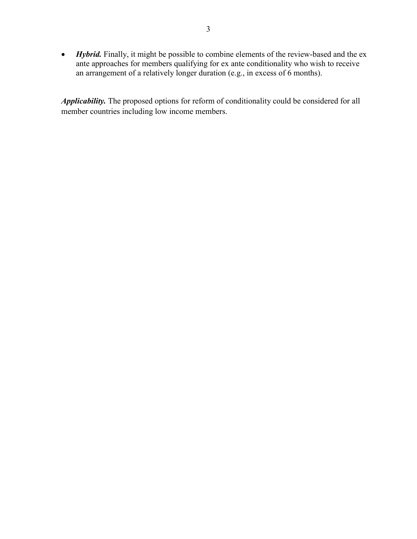• *Hybrid*. Finally, it might be possible to combine elements of the review-based and the ex ante approaches for members qualifying for ex ante conditionality who wish to receive an arrangement of a relatively longer duration (e.g., in excess of 6 months).

*Applicability.* The proposed options for reform of conditionality could be considered for all member countries including low income members.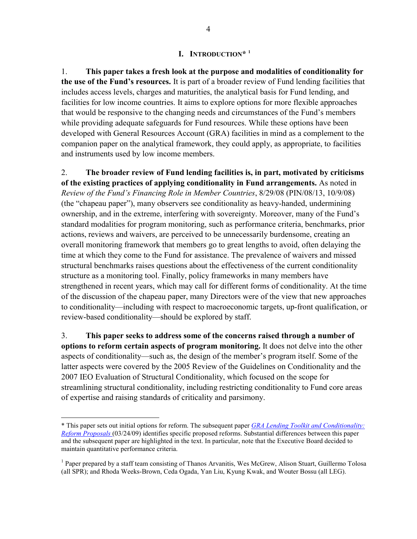#### **I. INTRODUCTION\* [1](#page-3-0)**

1. **This paper takes a fresh look at the purpose and modalities of conditionality for the use of the Fund's resources.** It is part of a broader review of Fund lending facilities that includes access levels, charges and maturities, the analytical basis for Fund lending, and facilities for low income countries. It aims to explore options for more flexible approaches that would be responsive to the changing needs and circumstances of the Fund's members while providing adequate safeguards for Fund resources. While these options have been developed with General Resources Account (GRA) facilities in mind as a complement to the companion paper on the analytical framework, they could apply, as appropriate, to facilities and instruments used by low income members.

2. **The broader review of Fund lending facilities is, in part, motivated by criticisms of the existing practices of applying conditionality in Fund arrangements.** As noted in *Review of the Fund's Financing Role in Member Countries*, 8/29/08 (PIN/08/13, 10/9/08) (the "chapeau paper"), many observers see conditionality as heavy-handed, undermining ownership, and in the extreme, interfering with sovereignty. Moreover, many of the Fund's standard modalities for program monitoring, such as performance criteria, benchmarks, prior actions, reviews and waivers, are perceived to be unnecessarily burdensome, creating an overall monitoring framework that members go to great lengths to avoid, often delaying the time at which they come to the Fund for assistance. The prevalence of waivers and missed structural benchmarks raises questions about the effectiveness of the current conditionality structure as a monitoring tool. Finally, policy frameworks in many members have strengthened in recent years, which may call for different forms of conditionality. At the time of the discussion of the chapeau paper, many Directors were of the view that new approaches to conditionality—including with respect to macroeconomic targets, up-front qualification, or review-based conditionality—should be explored by staff.

3. **This paper seeks to address some of the concerns raised through a number of options to reform certain aspects of program monitoring.** It does not delve into the other aspects of conditionality—such as, the design of the member's program itself. Some of the latter aspects were covered by the 2005 Review of the Guidelines on Conditionality and the 2007 IEO Evaluation of Structural Conditionality, which focused on the scope for streamlining structural conditionality, including restricting conditionality to Fund core areas of expertise and raising standards of criticality and parsimony.

<span id="page-3-0"></span><sup>\*</sup> This paper sets out initial options for reform. The subsequent paper *[GRA Lending Toolkit and Conditionality:](http://www.imf.org/external/np/pp/eng/2009/031309A.pdf)  [Reform Proposals](http://www.imf.org/external/np/pp/eng/2009/031309A.pdf)* (03/24/09) identifies specific proposed reforms. Substantial differences between this paper and the subsequent paper are highlighted in the text. In particular, note that the Executive Board decided to maintain quantitative performance criteria.

<sup>&</sup>lt;sup>1</sup> Paper prepared by a staff team consisting of Thanos Arvanitis, Wes McGrew, Alison Stuart, Guillermo Tolosa (all SPR); and Rhoda Weeks-Brown, Ceda Ogada, Yan Liu, Kyung Kwak, and Wouter Bossu (all LEG).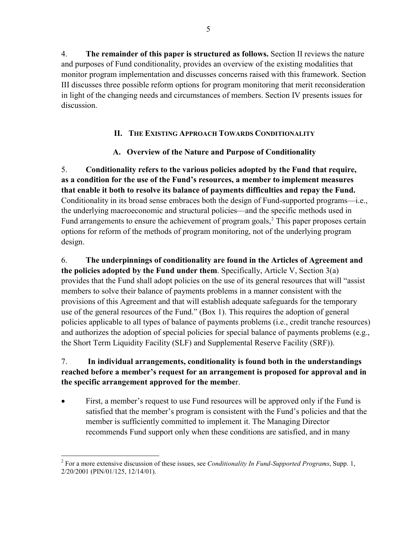4. **The remainder of this paper is structured as follows.** Section II reviews the nature and purposes of Fund conditionality, provides an overview of the existing modalities that monitor program implementation and discusses concerns raised with this framework. Section III discusses three possible reform options for program monitoring that merit reconsideration in light of the changing needs and circumstances of members. Section IV presents issues for discussion.

# **II. THE EXISTING APPROACH TOWARDS CONDITIONALITY**

# **A. Overview of the Nature and Purpose of Conditionality**

5. **Conditionality refers to the various policies adopted by the Fund that require, as a condition for the use of the Fund's resources, a member to implement measures that enable it both to resolve its balance of payments difficulties and repay the Fund.**  Conditionality in its broad sense embraces both the design of Fund-supported programs—i.e., the underlying macroeconomic and structural policies—and the specific methods used in Fund arrangements to ensure the achievement of program goals,<sup>[2](#page-4-0)</sup> This paper proposes certain options for reform of the methods of program monitoring, not of the underlying program design.

6. **The underpinnings of conditionality are found in the Articles of Agreement and the policies adopted by the Fund under them**. Specifically, Article V, Section 3(a) provides that the Fund shall adopt policies on the use of its general resources that will "assist members to solve their balance of payments problems in a manner consistent with the provisions of this Agreement and that will establish adequate safeguards for the temporary use of the general resources of the Fund." (Box 1). This requires the adoption of general policies applicable to all types of balance of payments problems (i.e., credit tranche resources) and authorizes the adoption of special policies for special balance of payments problems (e.g., the Short Term Liquidity Facility (SLF) and Supplemental Reserve Facility (SRF)).

# 7. **In individual arrangements, conditionality is found both in the understandings reached before a member's request for an arrangement is proposed for approval and in the specific arrangement approved for the membe**r.

• First, a member's request to use Fund resources will be approved only if the Fund is satisfied that the member's program is consistent with the Fund's policies and that the member is sufficiently committed to implement it. The Managing Director recommends Fund support only when these conditions are satisfied, and in many

<span id="page-4-0"></span> 2 For a more extensive discussion of these issues, see *Conditionality In Fund-Supported Programs*, Supp. 1, 2/20/2001 (PIN/01/125, 12/14/01).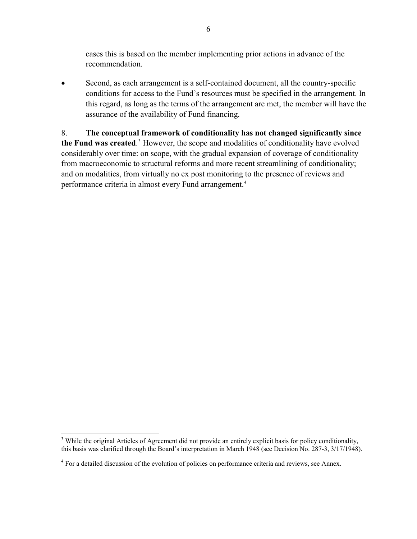cases this is based on the member implementing prior actions in advance of the recommendation.

• Second, as each arrangement is a self-contained document, all the country-specific conditions for access to the Fund's resources must be specified in the arrangement. In this regard, as long as the terms of the arrangement are met, the member will have the assurance of the availability of Fund financing.

8. **The conceptual framework of conditionality has not changed significantly since**  the Fund was created.<sup>[3](#page-5-0)</sup> However, the scope and modalities of conditionality have evolved considerably over time: on scope, with the gradual expansion of coverage of conditionality from macroeconomic to structural reforms and more recent streamlining of conditionality; and on modalities, from virtually no ex post monitoring to the presence of reviews and performance criteria in almost every Fund arrangement.<sup>[4](#page-5-1)</sup>

1

<span id="page-5-0"></span><sup>&</sup>lt;sup>3</sup> While the original Articles of Agreement did not provide an entirely explicit basis for policy conditionality, this basis was clarified through the Board's interpretation in March 1948 (see Decision No. 287-3, 3/17/1948).

<span id="page-5-1"></span><sup>&</sup>lt;sup>4</sup> For a detailed discussion of the evolution of policies on performance criteria and reviews, see Annex.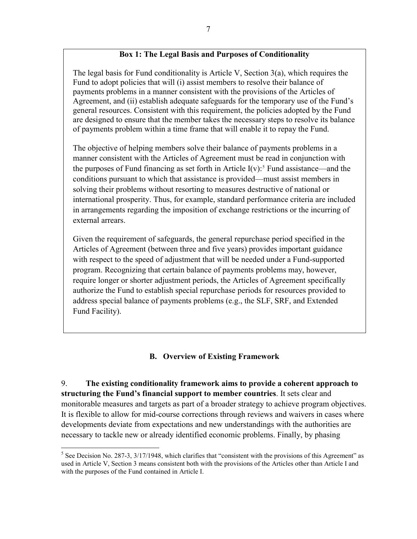### **Box 1: The Legal Basis and Purposes of Conditionality**

The legal basis for Fund conditionality is Article V, Section  $3(a)$ , which requires the Fund to adopt policies that will (i) assist members to resolve their balance of payments problems in a manner consistent with the provisions of the Articles of Agreement, and (ii) establish adequate safeguards for the temporary use of the Fund's general resources. Consistent with this requirement, the policies adopted by the Fund are designed to ensure that the member takes the necessary steps to resolve its balance of payments problem within a time frame that will enable it to repay the Fund.

The objective of helping members solve their balance of payments problems in a manner consistent with the Articles of Agreement must be read in conjunction with the purposes of Fund financing as set forth in Article  $I(v)$ :<sup>[5](#page-6-0)</sup> Fund assistance—and the conditions pursuant to which that assistance is provided—must assist members in solving their problems without resorting to measures destructive of national or international prosperity. Thus, for example, standard performance criteria are included in arrangements regarding the imposition of exchange restrictions or the incurring of external arrears.

Given the requirement of safeguards, the general repurchase period specified in the Articles of Agreement (between three and five years) provides important guidance with respect to the speed of adjustment that will be needed under a Fund-supported program. Recognizing that certain balance of payments problems may, however, require longer or shorter adjustment periods, the Articles of Agreement specifically authorize the Fund to establish special repurchase periods for resources provided to address special balance of payments problems (e.g., the SLF, SRF, and Extended Fund Facility).

# **B. Overview of Existing Framework**

9. **The existing conditionality framework aims to provide a coherent approach to structuring the Fund's financial support to member countries**. It sets clear and monitorable measures and targets as part of a broader strategy to achieve program objectives. It is flexible to allow for mid-course corrections through reviews and waivers in cases where developments deviate from expectations and new understandings with the authorities are necessary to tackle new or already identified economic problems. Finally, by phasing

<span id="page-6-0"></span> $<sup>5</sup>$  See Decision No. 287-3, 3/17/1948, which clarifies that "consistent with the provisions of this Agreement" as</sup> used in Article V, Section 3 means consistent both with the provisions of the Articles other than Article I and with the purposes of the Fund contained in Article I.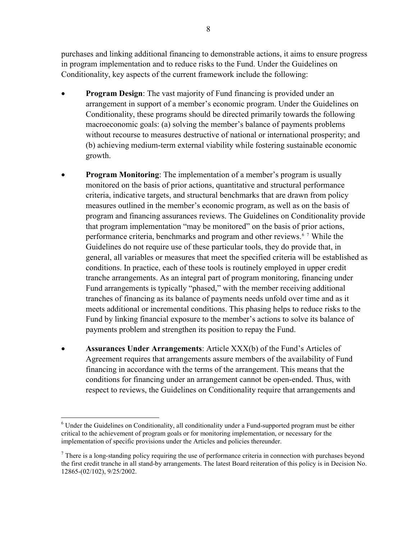purchases and linking additional financing to demonstrable actions, it aims to ensure progress in program implementation and to reduce risks to the Fund. Under the Guidelines on Conditionality, key aspects of the current framework include the following:

- **Program Design:** The vast majority of Fund financing is provided under an arrangement in support of a member's economic program. Under the Guidelines on Conditionality, these programs should be directed primarily towards the following macroeconomic goals: (a) solving the member's balance of payments problems without recourse to measures destructive of national or international prosperity; and (b) achieving medium-term external viability while fostering sustainable economic growth.
- **Program Monitoring:** The implementation of a member's program is usually monitored on the basis of prior actions, quantitative and structural performance criteria, indicative targets, and structural benchmarks that are drawn from policy measures outlined in the member's economic program, as well as on the basis of program and financing assurances reviews. The Guidelines on Conditionality provide that program implementation "may be monitored" on the basis of prior actions, performance criteria, benchmarks and program and other reviews.<sup>[6](#page-7-0)[7](#page-7-1)</sup> While the Guidelines do not require use of these particular tools, they do provide that, in general, all variables or measures that meet the specified criteria will be established as conditions. In practice, each of these tools is routinely employed in upper credit tranche arrangements. As an integral part of program monitoring, financing under Fund arrangements is typically "phased," with the member receiving additional tranches of financing as its balance of payments needs unfold over time and as it meets additional or incremental conditions. This phasing helps to reduce risks to the Fund by linking financial exposure to the member's actions to solve its balance of payments problem and strengthen its position to repay the Fund.
- **Assurances Under Arrangements**: Article XXX(b) of the Fund's Articles of Agreement requires that arrangements assure members of the availability of Fund financing in accordance with the terms of the arrangement. This means that the conditions for financing under an arrangement cannot be open-ended. Thus, with respect to reviews, the Guidelines on Conditionality require that arrangements and

<span id="page-7-0"></span> $\overline{a}$ <sup>6</sup> Under the Guidelines on Conditionality, all conditionality under a Fund-supported program must be either critical to the achievement of program goals or for monitoring implementation, or necessary for the implementation of specific provisions under the Articles and policies thereunder.

<span id="page-7-1"></span> $<sup>7</sup>$  There is a long-standing policy requiring the use of performance criteria in connection with purchases beyond</sup> the first credit tranche in all stand-by arrangements. The latest Board reiteration of this policy is in Decision No. 12865-(02/102), 9/25/2002.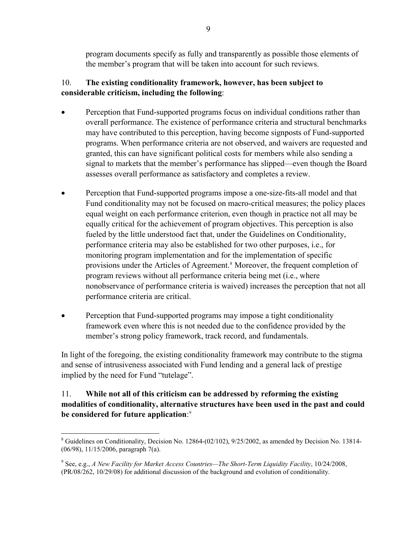program documents specify as fully and transparently as possible those elements of the member's program that will be taken into account for such reviews.

# 10. **The existing conditionality framework, however, has been subject to considerable criticism, including the following**:

- Perception that Fund-supported programs focus on individual conditions rather than overall performance. The existence of performance criteria and structural benchmarks may have contributed to this perception, having become signposts of Fund-supported programs. When performance criteria are not observed, and waivers are requested and granted, this can have significant political costs for members while also sending a signal to markets that the member's performance has slipped—even though the Board assesses overall performance as satisfactory and completes a review.
- Perception that Fund-supported programs impose a one-size-fits-all model and that Fund conditionality may not be focused on macro-critical measures; the policy places equal weight on each performance criterion, even though in practice not all may be equally critical for the achievement of program objectives. This perception is also fueled by the little understood fact that, under the Guidelines on Conditionality, performance criteria may also be established for two other purposes, i.e., for monitoring program implementation and for the implementation of specific provisions under the Articles of Agreement.<sup>[8](#page-8-0)</sup> Moreover, the frequent completion of program reviews without all performance criteria being met (i.e., where nonobservance of performance criteria is waived) increases the perception that not all performance criteria are critical.
- Perception that Fund-supported programs may impose a tight conditionality framework even where this is not needed due to the confidence provided by the member's strong policy framework, track record, and fundamentals.

In light of the foregoing, the existing conditionality framework may contribute to the stigma and sense of intrusiveness associated with Fund lending and a general lack of prestige implied by the need for Fund "tutelage".

# 11. **While not all of this criticism can be addressed by reforming the existing modalities of conditionality, alternative structures have been used in the past and could be considered for future application**: [9](#page-8-1)

<span id="page-8-0"></span> $\overline{a}$  $8$  Guidelines on Conditionality, Decision No. 12864-(02/102), 9/25/2002, as amended by Decision No. 13814-(06/98), 11/15/2006, paragraph 7(a).

<span id="page-8-1"></span><sup>9</sup> See, e.g., *A New Facility for Market Access Countries—The Short-Term Liquidity Facility*, 10/24/2008, (PR/08/262, 10/29/08) for additional discussion of the background and evolution of conditionality.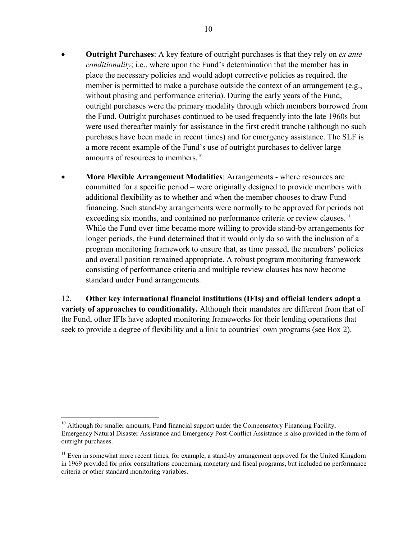- **Outright Purchases**: A key feature of outright purchases is that they rely on *ex ante conditionality*; i.e., where upon the Fund's determination that the member has in place the necessary policies and would adopt corrective policies as required, the member is permitted to make a purchase outside the context of an arrangement (e.g., without phasing and performance criteria). During the early years of the Fund, outright purchases were the primary modality through which members borrowed from the Fund. Outright purchases continued to be used frequently into the late 1960s but were used thereafter mainly for assistance in the first credit tranche (although no such purchases have been made in recent times) and for emergency assistance. The SLF is a more recent example of the Fund's use of outright purchases to deliver large amounts of resources to members.<sup>[10](#page-9-0)</sup>
- **More Flexible Arrangement Modalities**: Arrangements where resources are committed for a specific period – were originally designed to provide members with additional flexibility as to whether and when the member chooses to draw Fund financing. Such stand-by arrangements were normally to be approved for periods not exceeding six months, and contained no performance criteria or review clauses.<sup>[11](#page-9-1)</sup> While the Fund over time became more willing to provide stand-by arrangements for longer periods, the Fund determined that it would only do so with the inclusion of a program monitoring framework to ensure that, as time passed, the members' policies and overall position remained appropriate. A robust program monitoring framework consisting of performance criteria and multiple review clauses has now become standard under Fund arrangements.

12. **Other key international financial institutions (IFIs) and official lenders adopt a variety of approaches to conditionality.** Although their mandates are different from that of the Fund, other IFIs have adopted monitoring frameworks for their lending operations that seek to provide a degree of flexibility and a link to countries' own programs (see Box 2).

<span id="page-9-0"></span> $10$  Although for smaller amounts, Fund financial support under the Compensatory Financing Facility, Emergency Natural Disaster Assistance and Emergency Post-Conflict Assistance is also provided in the form of outright purchases.

<span id="page-9-1"></span> $11$  Even in somewhat more recent times, for example, a stand-by arrangement approved for the United Kingdom in 1969 provided for prior consultations concerning monetary and fiscal programs, but included no performance criteria or other standard monitoring variables.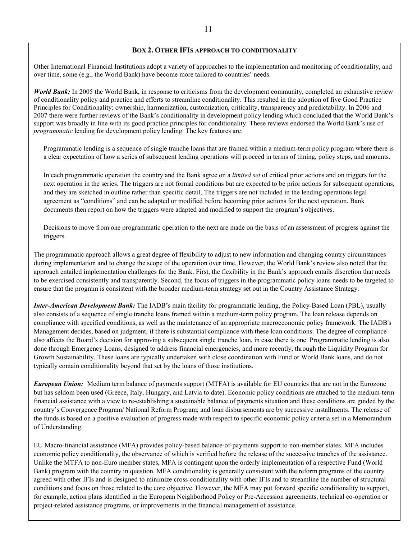#### **BOX 2. OTHER IFIS APPROACH TO CONDITIONALITY**

Other International Financial Institutions adopt a variety of approaches to the implementation and monitoring of conditionality, and over time, some (e.g., the World Bank) have become more tailored to countries' needs.

*World Bank:* In 2005 the World Bank, in response to criticisms from the development community, completed an exhaustive review of conditionality policy and practice and efforts to streamline conditionality. This resulted in the adoption of five Good Practice Principles for Conditionality: ownership, harmonization, customization, criticality, transparency and predictability. In 2006 and 2007 there were further reviews of the Bank's conditionality in development policy lending which concluded that the World Bank's support was broadly in line with its good practice principles for conditionality. These reviews endorsed the World Bank's use of *programmatic* lending for development policy lending. The key features are:

Programmatic lending is a sequence of single tranche loans that are framed within a medium-term policy program where there is a clear expectation of how a series of subsequent lending operations will proceed in terms of timing, policy steps, and amounts.

In each programmatic operation the country and the Bank agree on a *limited set* of critical prior actions and on triggers for the next operation in the series. The triggers are not formal conditions but are expected to be prior actions for subsequent operations, and they are sketched in outline rather than specific detail. The triggers are not included in the lending operations legal agreement as "conditions" and can be adapted or modified before becoming prior actions for the next operation. Bank documents then report on how the triggers were adapted and modified to support the program's objectives.

Decisions to move from one programmatic operation to the next are made on the basis of an assessment of progress against the triggers.

The programmatic approach allows a great degree of flexibility to adjust to new information and changing country circumstances during implementation and to change the scope of the operation over time. However, the World Bank's review also noted that the approach entailed implementation challenges for the Bank. First, the flexibility in the Bank's approach entails discretion that needs to be exercised consistently and transparently. Second, the focus of triggers in the programmatic policy loans needs to be targeted to ensure that the program is consistent with the broader medium-term strategy set out in the Country Assistance Strategy.

*Inter-American Development Bank:* The IADB's main facility for programmatic lending, the Policy-Based Loan (PBL), usually also consists of a sequence of single tranche loans framed within a medium-term policy program. The loan release depends on compliance with specified conditions, as well as the maintenance of an appropriate macroeconomic policy framework. The IADB's Management decides, based on judgment, if there is substantial compliance with these loan conditions. The degree of compliance also affects the Board's decision for approving a subsequent single tranche loan, in case there is one. Programmatic lending is also done through Emergency Loans, designed to address financial emergencies, and more recently, through the Liquidity Program for Growth Sustainability. These loans are typically undertaken with close coordination with Fund or World Bank loans, and do not typically contain conditionality beyond that set by the loans of those institutions.

*European Union:* Medium term balance of payments support (MTFA) is available for EU countries that are not in the Eurozone but has seldom been used (Greece, Italy, Hungary, and Latvia to date). Economic policy conditions are attached to the medium-term financial assistance with a view to re-establishing a sustainable balance of payments situation and these conditions are guided by the country's Convergence Program/ National Reform Program; and loan disbursements are by successive installments. The release of the funds is based on a positive evaluation of progress made with respect to specific economic policy criteria set in a Memorandum of Understanding.

EU Macro-financial assistance (MFA) provides policy-based balance-of-payments support to non-member states. MFA includes economic policy conditionality, the observance of which is verified before the release of the successive tranches of the assistance. Unlike the MTFA to non-Euro member states, MFA is contingent upon the orderly implementation of a respective Fund (World Bank) program with the country in question. MFA conditionality is generally consistent with the reform programs of the country agreed with other IFIs and is designed to minimize cross-conditionality with other IFIs and to streamline the number of structural conditions and focus on those related to the core objective. However, the MFA may put forward specific conditionality to support, for example, action plans identified in the European Neighborhood Policy or Pre-Accession agreements, technical co-operation or project-related assistance programs, or improvements in the financial management of assistance.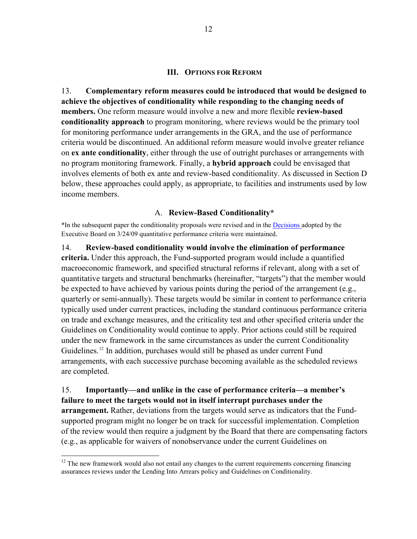#### **III. OPTIONS FOR REFORM**

13. **Complementary reform measures could be introduced that would be designed to achieve the objectives of conditionality while responding to the changing needs of members.** One reform measure would involve a new and more flexible **review-based conditionality approach** to program monitoring, where reviews would be the primary tool for monitoring performance under arrangements in the GRA, and the use of performance criteria would be discontinued. An additional reform measure would involve greater reliance on **ex ante conditionality**, either through the use of outright purchases or arrangements with no program monitoring framework. Finally, a **hybrid approach** could be envisaged that involves elements of both ex ante and review-based conditionality. As discussed in Section D below, these approaches could apply, as appropriate, to facilities and instruments used by low income members.

#### A. **Review-Based Conditionality\***

\*In the subsequent paper the conditionality proposals were revised and in the [Decisions a](http://www.imf.org/external/np/pp/eng/2009/031909.pdf)dopted by the Executive Board on 3/24/09 quantitative performance criteria were maintained.

14. **Review-based conditionality would involve the elimination of performance criteria.** Under this approach, the Fund-supported program would include a quantified macroeconomic framework, and specified structural reforms if relevant, along with a set of quantitative targets and structural benchmarks (hereinafter, "targets") that the member would be expected to have achieved by various points during the period of the arrangement (e.g., quarterly or semi-annually). These targets would be similar in content to performance criteria typically used under current practices, including the standard continuous performance criteria on trade and exchange measures, and the criticality test and other specified criteria under the Guidelines on Conditionality would continue to apply. Prior actions could still be required under the new framework in the same circumstances as under the current Conditionality Guidelines.<sup>[12](#page-11-0)</sup> In addition, purchases would still be phased as under current Fund arrangements, with each successive purchase becoming available as the scheduled reviews are completed.

15. **Importantly—and unlike in the case of performance criteria—a member's failure to meet the targets would not in itself interrupt purchases under the arrangement.** Rather, deviations from the targets would serve as indicators that the Fundsupported program might no longer be on track for successful implementation. Completion of the review would then require a judgment by the Board that there are compensating factors (e.g., as applicable for waivers of nonobservance under the current Guidelines on

<span id="page-11-0"></span><sup>&</sup>lt;sup>12</sup> The new framework would also not entail any changes to the current requirements concerning financing assurances reviews under the Lending Into Arrears policy and Guidelines on Conditionality.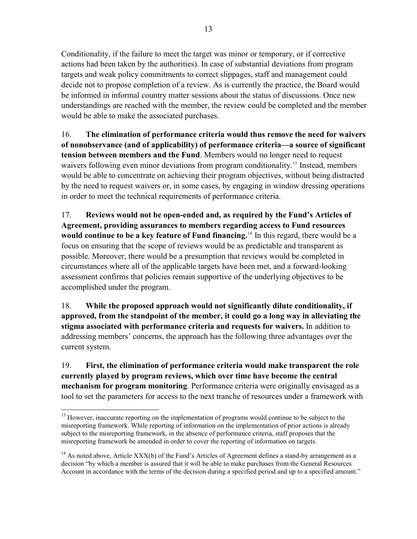Conditionality, if the failure to meet the target was minor or temporary, or if corrective actions had been taken by the authorities). In case of substantial deviations from program targets and weak policy commitments to correct slippages, staff and management could decide not to propose completion of a review. As is currently the practice, the Board would be informed in informal country matter sessions about the status of discussions. Once new understandings are reached with the member, the review could be completed and the member would be able to make the associated purchases.

16. **The elimination of performance criteria would thus remove the need for waivers of nonobservance (and of applicability) of performance criteria—a source of significant tension between members and the Fund**. Members would no longer need to request waivers following even minor deviations from program conditionality.<sup>[13](#page-12-0)</sup> Instead, members would be able to concentrate on achieving their program objectives, without being distracted by the need to request waivers or, in some cases, by engaging in window dressing operations in order to meet the technical requirements of performance criteria.

17. **Reviews would not be open-ended and, as required by the Fund's Articles of Agreement, providing assurances to members regarding access to Fund resources would continue to be a key feature of Fund financing.**[14](#page-12-1) In this regard, there would be a focus on ensuring that the scope of reviews would be as predictable and transparent as possible. Moreover, there would be a presumption that reviews would be completed in circumstances where all of the applicable targets have been met, and a forward-looking assessment confirms that policies remain supportive of the underlying objectives to be accomplished under the program.

18. **While the proposed approach would not significantly dilute conditionality, if approved, from the standpoint of the member, it could go a long way in alleviating the stigma associated with performance criteria and requests for waivers.** In addition to addressing members' concerns, the approach has the following three advantages over the current system.

19. **First, the elimination of performance criteria would make transparent the role currently played by program reviews, which over time have become the central mechanism for program monitoring**. Performance criteria were originally envisaged as a tool to set the parameters for access to the next tranche of resources under a framework with

<span id="page-12-0"></span><sup>1</sup> <sup>13</sup> However, inaccurate reporting on the implementation of programs would continue to be subject to the misreporting framework. While reporting of information on the implementation of prior actions is already subject to the misreporting framework, in the absence of performance criteria, staff proposes that the misreporting framework be amended in order to cover the reporting of information on targets.

<span id="page-12-1"></span><sup>&</sup>lt;sup>14</sup> As noted above, Article XXX(b) of the Fund's Articles of Agreement defines a stand-by arrangement as a decision "by which a member is assured that it will be able to make purchases from the General Resources Account in accordance with the terms of the decision during a specified period and up to a specified amount."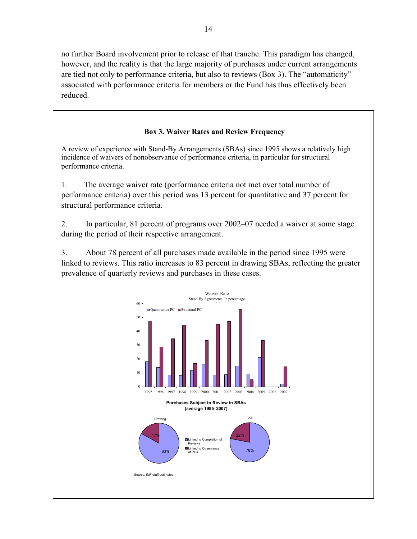no further Board involvement prior to release of that tranche. This paradigm has changed, however, and the reality is that the large majority of purchases under current arrangements are tied not only to performance criteria, but also to reviews (Box 3). The "automaticity" associated with performance criteria for members or the Fund has thus effectively been reduced.

## **Box 3. Waiver Rates and Review Frequency**

A review of experience with Stand-By Arrangements (SBAs) since 1995 shows a relatively high incidence of waivers of nonobservance of performance criteria, in particular for structural performance criteria.

1. The average waiver rate (performance criteria not met over total number of performance criteria) over this period was 13 percent for quantitative and 37 percent for structural performance criteria.

2. In particular, 81 percent of programs over 2002–07 needed a waiver at some stage during the period of their respective arrangement.

3. About 78 percent of all purchases made available in the period since 1995 were linked to reviews. This ratio increases to 83 percent in drawing SBAs, reflecting the greater prevalence of quarterly reviews and purchases in these cases.

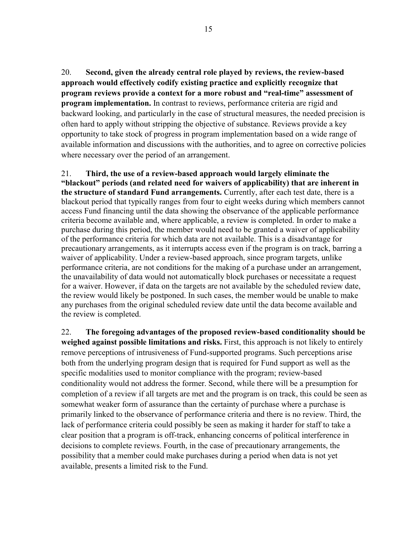20. **Second, given the already central role played by reviews, the review-based approach would effectively codify existing practice and explicitly recognize that program reviews provide a context for a more robust and "real-time" assessment of program implementation.** In contrast to reviews, performance criteria are rigid and backward looking, and particularly in the case of structural measures, the needed precision is often hard to apply without stripping the objective of substance. Reviews provide a key opportunity to take stock of progress in program implementation based on a wide range of available information and discussions with the authorities, and to agree on corrective policies where necessary over the period of an arrangement.

21. **Third, the use of a review-based approach would largely eliminate the "blackout" periods (and related need for waivers of applicability) that are inherent in the structure of standard Fund arrangements.** Currently, after each test date, there is a blackout period that typically ranges from four to eight weeks during which members cannot access Fund financing until the data showing the observance of the applicable performance criteria become available and, where applicable, a review is completed. In order to make a purchase during this period, the member would need to be granted a waiver of applicability of the performance criteria for which data are not available. This is a disadvantage for precautionary arrangements, as it interrupts access even if the program is on track, barring a waiver of applicability. Under a review-based approach, since program targets, unlike performance criteria, are not conditions for the making of a purchase under an arrangement, the unavailability of data would not automatically block purchases or necessitate a request for a waiver. However, if data on the targets are not available by the scheduled review date, the review would likely be postponed. In such cases, the member would be unable to make any purchases from the original scheduled review date until the data become available and the review is completed.

22. **The foregoing advantages of the proposed review-based conditionality should be weighed against possible limitations and risks.** First, this approach is not likely to entirely remove perceptions of intrusiveness of Fund-supported programs. Such perceptions arise both from the underlying program design that is required for Fund support as well as the specific modalities used to monitor compliance with the program; review-based conditionality would not address the former. Second, while there will be a presumption for completion of a review if all targets are met and the program is on track, this could be seen as somewhat weaker form of assurance than the certainty of purchase where a purchase is primarily linked to the observance of performance criteria and there is no review. Third, the lack of performance criteria could possibly be seen as making it harder for staff to take a clear position that a program is off-track, enhancing concerns of political interference in decisions to complete reviews. Fourth, in the case of precautionary arrangements, the possibility that a member could make purchases during a period when data is not yet available, presents a limited risk to the Fund.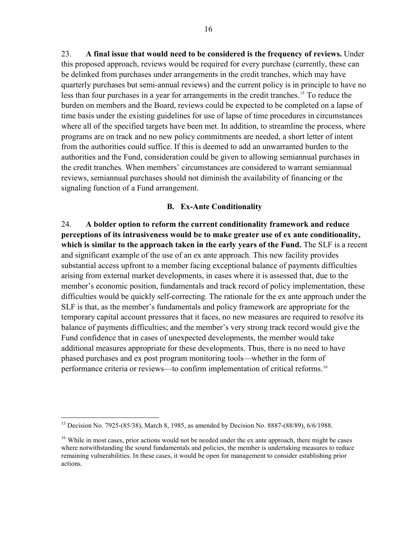23. **A final issue that would need to be considered is the frequency of reviews.** Under this proposed approach, reviews would be required for every purchase (currently, these can be delinked from purchases under arrangements in the credit tranches, which may have quarterly purchases but semi-annual reviews) and the current policy is in principle to have no less than four purchases in a year for arrangements in the credit tranches.<sup>[15](#page-15-0)</sup> To reduce the burden on members and the Board, reviews could be expected to be completed on a lapse of time basis under the existing guidelines for use of lapse of time procedures in circumstances where all of the specified targets have been met. In addition, to streamline the process, where programs are on track and no new policy commitments are needed, a short letter of intent from the authorities could suffice. If this is deemed to add an unwarranted burden to the authorities and the Fund, consideration could be given to allowing semiannual purchases in the credit tranches. When members' circumstances are considered to warrant semiannual reviews, semiannual purchases should not diminish the availability of financing or the signaling function of a Fund arrangement.

#### **B. Ex-Ante Conditionality**

24. **A bolder option to reform the current conditionality framework and reduce perceptions of its intrusiveness would be to make greater use of ex ante conditionality, which is similar to the approach taken in the early years of the Fund.** The SLF is a recent and significant example of the use of an ex ante approach. This new facility provides substantial access upfront to a member facing exceptional balance of payments difficulties arising from external market developments, in cases where it is assessed that, due to the member's economic position, fundamentals and track record of policy implementation, these difficulties would be quickly self-correcting. The rationale for the ex ante approach under the SLF is that, as the member's fundamentals and policy framework are appropriate for the temporary capital account pressures that it faces, no new measures are required to resolve its balance of payments difficulties; and the member's very strong track record would give the Fund confidence that in cases of unexpected developments, the member would take additional measures appropriate for these developments. Thus, there is no need to have phased purchases and ex post program monitoring tools—whether in the form of performance criteria or reviews—to confirm implementation of critical reforms.[16](#page-15-1)

<span id="page-15-0"></span><sup>&</sup>lt;sup>15</sup> Decision No. 7925-(85/38), March 8, 1985, as amended by Decision No. 8887-(88/89), 6/6/1988.

<span id="page-15-1"></span><sup>&</sup>lt;sup>16</sup> While in most cases, prior actions would not be needed under the ex ante approach, there might be cases where notwithstanding the sound fundamentals and policies, the member is undertaking measures to reduce remaining vulnerabilities. In these cases, it would be open for management to consider establishing prior actions.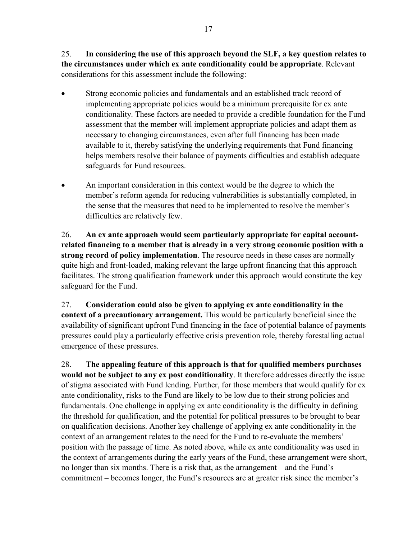25. **In considering the use of this approach beyond the SLF, a key question relates to the circumstances under which ex ante conditionality could be appropriate**. Relevant considerations for this assessment include the following:

- Strong economic policies and fundamentals and an established track record of implementing appropriate policies would be a minimum prerequisite for ex ante conditionality. These factors are needed to provide a credible foundation for the Fund assessment that the member will implement appropriate policies and adapt them as necessary to changing circumstances, even after full financing has been made available to it, thereby satisfying the underlying requirements that Fund financing helps members resolve their balance of payments difficulties and establish adequate safeguards for Fund resources.
- An important consideration in this context would be the degree to which the member's reform agenda for reducing vulnerabilities is substantially completed, in the sense that the measures that need to be implemented to resolve the member's difficulties are relatively few.

26. **An ex ante approach would seem particularly appropriate for capital accountrelated financing to a member that is already in a very strong economic position with a strong record of policy implementation**. The resource needs in these cases are normally quite high and front-loaded, making relevant the large upfront financing that this approach facilitates. The strong qualification framework under this approach would constitute the key safeguard for the Fund.

27. **Consideration could also be given to applying ex ante conditionality in the context of a precautionary arrangement.** This would be particularly beneficial since the availability of significant upfront Fund financing in the face of potential balance of payments pressures could play a particularly effective crisis prevention role, thereby forestalling actual emergence of these pressures.

28. **The appealing feature of this approach is that for qualified members purchases would not be subject to any ex post conditionality**. It therefore addresses directly the issue of stigma associated with Fund lending. Further, for those members that would qualify for ex ante conditionality, risks to the Fund are likely to be low due to their strong policies and fundamentals. One challenge in applying ex ante conditionality is the difficulty in defining the threshold for qualification, and the potential for political pressures to be brought to bear on qualification decisions. Another key challenge of applying ex ante conditionality in the context of an arrangement relates to the need for the Fund to re-evaluate the members' position with the passage of time. As noted above, while ex ante conditionality was used in the context of arrangements during the early years of the Fund, these arrangement were short, no longer than six months. There is a risk that, as the arrangement – and the Fund's commitment – becomes longer, the Fund's resources are at greater risk since the member's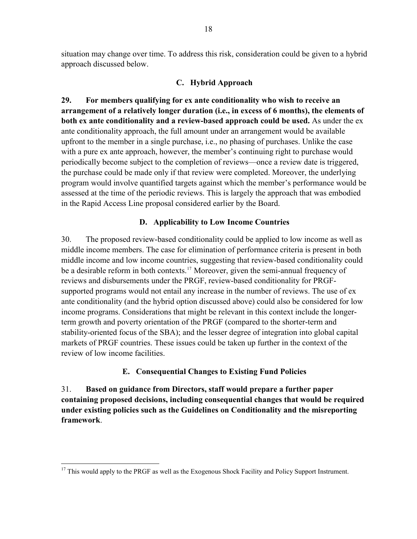situation may change over time. To address this risk, consideration could be given to a hybrid approach discussed below.

### **C. Hybrid Approach**

**29. For members qualifying for ex ante conditionality who wish to receive an arrangement of a relatively longer duration (i.e., in excess of 6 months), the elements of both ex ante conditionality and a review-based approach could be used.** As under the ex ante conditionality approach, the full amount under an arrangement would be available upfront to the member in a single purchase, i.e., no phasing of purchases. Unlike the case with a pure ex ante approach, however, the member's continuing right to purchase would periodically become subject to the completion of reviews—once a review date is triggered, the purchase could be made only if that review were completed. Moreover, the underlying program would involve quantified targets against which the member's performance would be assessed at the time of the periodic reviews. This is largely the approach that was embodied in the Rapid Access Line proposal considered earlier by the Board.

## **D. Applicability to Low Income Countries**

30. The proposed review-based conditionality could be applied to low income as well as middle income members. The case for elimination of performance criteria is present in both middle income and low income countries, suggesting that review-based conditionality could be a desirable reform in both contexts.<sup>[17](#page-17-0)</sup> Moreover, given the semi-annual frequency of reviews and disbursements under the PRGF, review-based conditionality for PRGFsupported programs would not entail any increase in the number of reviews. The use of ex ante conditionality (and the hybrid option discussed above) could also be considered for low income programs. Considerations that might be relevant in this context include the longerterm growth and poverty orientation of the PRGF (compared to the shorter-term and stability-oriented focus of the SBA); and the lesser degree of integration into global capital markets of PRGF countries. These issues could be taken up further in the context of the review of low income facilities.

# **E. Consequential Changes to Existing Fund Policies**

31. **Based on guidance from Directors, staff would prepare a further paper containing proposed decisions, including consequential changes that would be required under existing policies such as the Guidelines on Conditionality and the misreporting framework**.

<span id="page-17-0"></span><sup>&</sup>lt;sup>17</sup> This would apply to the PRGF as well as the Exogenous Shock Facility and Policy Support Instrument.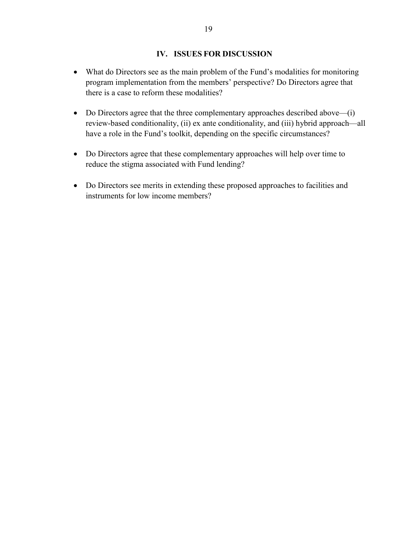### **IV. ISSUES FOR DISCUSSION**

- What do Directors see as the main problem of the Fund's modalities for monitoring program implementation from the members' perspective? Do Directors agree that there is a case to reform these modalities?
- Do Directors agree that the three complementary approaches described above—(i) review-based conditionality, (ii) ex ante conditionality, and (iii) hybrid approach—all have a role in the Fund's toolkit, depending on the specific circumstances?
- Do Directors agree that these complementary approaches will help over time to reduce the stigma associated with Fund lending?
- Do Directors see merits in extending these proposed approaches to facilities and instruments for low income members?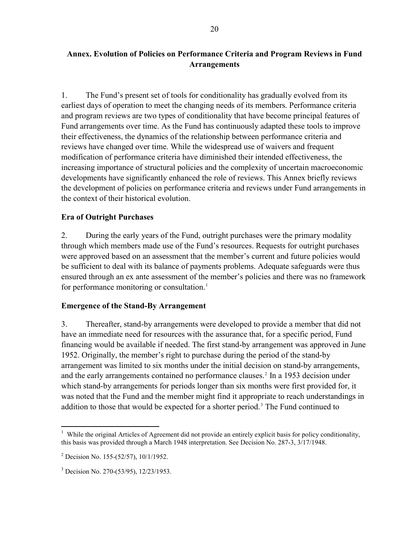# **Annex. Evolution of Policies on Performance Criteria and Program Reviews in Fund Arrangements**

1. The Fund's present set of tools for conditionality has gradually evolved from its earliest days of operation to meet the changing needs of its members. Performance criteria and program reviews are two types of conditionality that have become principal features of Fund arrangements over time. As the Fund has continuously adapted these tools to improve their effectiveness, the dynamics of the relationship between performance criteria and reviews have changed over time. While the widespread use of waivers and frequent modification of performance criteria have diminished their intended effectiveness, the increasing importance of structural policies and the complexity of uncertain macroeconomic developments have significantly enhanced the role of reviews. This Annex briefly reviews the development of policies on performance criteria and reviews under Fund arrangements in the context of their historical evolution.

## **Era of Outright Purchases**

2. During the early years of the Fund, outright purchases were the primary modality through which members made use of the Fund's resources. Requests for outright purchases were approved based on an assessment that the member's current and future policies would be sufficient to deal with its balance of payments problems. Adequate safeguards were thus ensured through an ex ante assessment of the member's policies and there was no framework for performance monitoring or consultation.<sup>[1](#page-19-0)</sup>

#### **Emergence of the Stand-By Arrangement**

3. Thereafter, stand-by arrangements were developed to provide a member that did not have an immediate need for resources with the assurance that, for a specific period, Fund financing would be available if needed. The first stand-by arrangement was approved in June 1952. Originally, the member's right to purchase during the period of the stand-by arrangement was limited to six months under the initial decision on stand-by arrangements, and the early arrangements contained no performance clauses.<sup>[2](#page-19-1)</sup> In a 1953 decision under which stand-by arrangements for periods longer than six months were first provided for, it was noted that the Fund and the member might find it appropriate to reach understandings in addition to those that would be expected for a shorter period.<sup>[3](#page-19-2)</sup> The Fund continued to

<span id="page-19-0"></span><sup>1</sup> <sup>1</sup> While the original Articles of Agreement did not provide an entirely explicit basis for policy conditionality, this basis was provided through a March 1948 interpretation. See Decision No. 287-3, 3/17/1948.

<span id="page-19-1"></span><sup>&</sup>lt;sup>2</sup> Decision No. 155-(52/57), 10/1/1952.

<span id="page-19-2"></span><sup>3</sup> Decision No. 270-(53/95), 12/23/1953.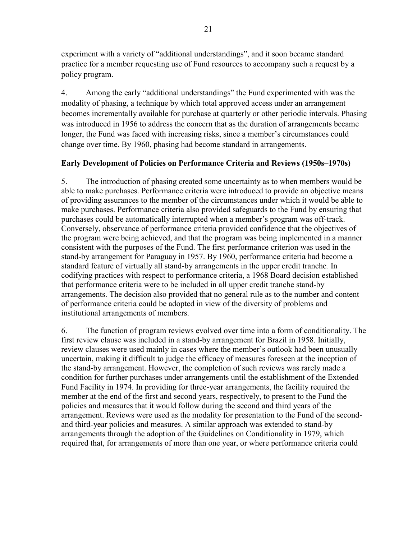experiment with a variety of "additional understandings", and it soon became standard practice for a member requesting use of Fund resources to accompany such a request by a policy program.

4. Among the early "additional understandings" the Fund experimented with was the modality of phasing, a technique by which total approved access under an arrangement becomes incrementally available for purchase at quarterly or other periodic intervals. Phasing was introduced in 1956 to address the concern that as the duration of arrangements became longer, the Fund was faced with increasing risks, since a member's circumstances could change over time. By 1960, phasing had become standard in arrangements.

# **Early Development of Policies on Performance Criteria and Reviews (1950s–1970s)**

5. The introduction of phasing created some uncertainty as to when members would be able to make purchases. Performance criteria were introduced to provide an objective means of providing assurances to the member of the circumstances under which it would be able to make purchases. Performance criteria also provided safeguards to the Fund by ensuring that purchases could be automatically interrupted when a member's program was off-track. Conversely, observance of performance criteria provided confidence that the objectives of the program were being achieved, and that the program was being implemented in a manner consistent with the purposes of the Fund. The first performance criterion was used in the stand-by arrangement for Paraguay in 1957. By 1960, performance criteria had become a standard feature of virtually all stand-by arrangements in the upper credit tranche*.* In codifying practices with respect to performance criteria, a 1968 Board decision established that performance criteria were to be included in all upper credit tranche stand-by arrangements. The decision also provided that no general rule as to the number and content of performance criteria could be adopted in view of the diversity of problems and institutional arrangements of members.

6. The function of program reviews evolved over time into a form of conditionality. The first review clause was included in a stand-by arrangement for Brazil in 1958. Initially, review clauses were used mainly in cases where the member's outlook had been unusually uncertain, making it difficult to judge the efficacy of measures foreseen at the inception of the stand-by arrangement. However, the completion of such reviews was rarely made a condition for further purchases under arrangements until the establishment of the Extended Fund Facility in 1974. In providing for three-year arrangements, the facility required the member at the end of the first and second years, respectively, to present to the Fund the policies and measures that it would follow during the second and third years of the arrangement. Reviews were used as the modality for presentation to the Fund of the secondand third-year policies and measures. A similar approach was extended to stand-by arrangements through the adoption of the Guidelines on Conditionality in 1979, which required that, for arrangements of more than one year, or where performance criteria could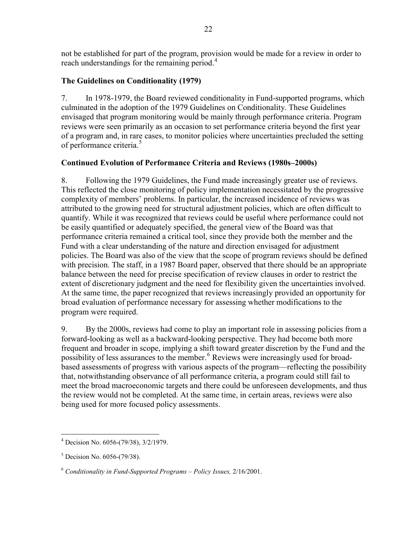not be established for part of the program, provision would be made for a review in order to reach understandings for the remaining period.<sup>[4](#page-21-0)</sup>

## **The Guidelines on Conditionality (1979)**

7. In 1978-1979, the Board reviewed conditionality in Fund-supported programs, which culminated in the adoption of the 1979 Guidelines on Conditionality. These Guidelines envisaged that program monitoring would be mainly through performance criteria. Program reviews were seen primarily as an occasion to set performance criteria beyond the first year of a program and, in rare cases, to monitor policies where uncertainties precluded the setting of performance criteria.<sup>[5](#page-21-1)</sup>

## **Continued Evolution of Performance Criteria and Reviews (1980s–2000s)**

8. Following the 1979 Guidelines, the Fund made increasingly greater use of reviews. This reflected the close monitoring of policy implementation necessitated by the progressive complexity of members' problems. In particular, the increased incidence of reviews was attributed to the growing need for structural adjustment policies, which are often difficult to quantify. While it was recognized that reviews could be useful where performance could not be easily quantified or adequately specified, the general view of the Board was that performance criteria remained a critical tool, since they provide both the member and the Fund with a clear understanding of the nature and direction envisaged for adjustment policies. The Board was also of the view that the scope of program reviews should be defined with precision. The staff, in a 1987 Board paper, observed that there should be an appropriate balance between the need for precise specification of review clauses in order to restrict the extent of discretionary judgment and the need for flexibility given the uncertainties involved. At the same time, the paper recognized that reviews increasingly provided an opportunity for broad evaluation of performance necessary for assessing whether modifications to the program were required.

9. By the 2000s, reviews had come to play an important role in assessing policies from a forward-looking as well as a backward-looking perspective. They had become both more frequent and broader in scope, implying a shift toward greater discretion by the Fund and the possibility of less assurances to the member.<sup>[6](#page-21-2)</sup> Reviews were increasingly used for broadbased assessments of progress with various aspects of the program—reflecting the possibility that, notwithstanding observance of all performance criteria, a program could still fail to meet the broad macroeconomic targets and there could be unforeseen developments, and thus the review would not be completed. At the same time, in certain areas, reviews were also being used for more focused policy assessments.

<span id="page-21-0"></span> 4 Decision No. 6056-(79/38), 3/2/1979.

<span id="page-21-1"></span><sup>&</sup>lt;sup>5</sup> Decision No. 6056-(79/38).

<span id="page-21-2"></span><sup>6</sup> *Conditionality in Fund-Supported Programs – Policy Issues,* 2/16/2001.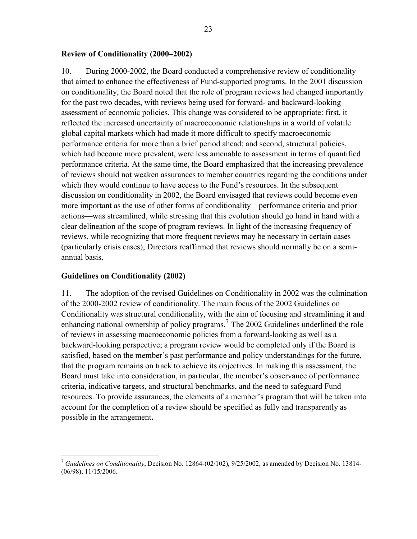#### **Review of Conditionality (2000–2002)**

10. During 2000-2002, the Board conducted a comprehensive review of conditionality that aimed to enhance the effectiveness of Fund-supported programs. In the 2001 discussion on conditionality, the Board noted that the role of program reviews had changed importantly for the past two decades, with reviews being used for forward- and backward-looking assessment of economic policies. This change was considered to be appropriate: first, it reflected the increased uncertainty of macroeconomic relationships in a world of volatile global capital markets which had made it more difficult to specify macroeconomic performance criteria for more than a brief period ahead; and second, structural policies, which had become more prevalent, were less amenable to assessment in terms of quantified performance criteria. At the same time, the Board emphasized that the increasing prevalence of reviews should not weaken assurances to member countries regarding the conditions under which they would continue to have access to the Fund's resources. In the subsequent discussion on conditionality in 2002, the Board envisaged that reviews could become even more important as the use of other forms of conditionality—performance criteria and prior actions—was streamlined, while stressing that this evolution should go hand in hand with a clear delineation of the scope of program reviews. In light of the increasing frequency of reviews, while recognizing that more frequent reviews may be necessary in certain cases (particularly crisis cases), Directors reaffirmed that reviews should normally be on a semiannual basis.

#### **Guidelines on Conditionality (2002)**

1

11. The adoption of the revised Guidelines on Conditionality in 2002 was the culmination of the 2000-2002 review of conditionality. The main focus of the 2002 Guidelines on Conditionality was structural conditionality, with the aim of focusing and streamlining it and enhancing national ownership of policy programs.<sup>[7](#page-22-0)</sup> The 2002 Guidelines underlined the role of reviews in assessing macroeconomic policies from a forward-looking as well as a backward-looking perspective; a program review would be completed only if the Board is satisfied, based on the member's past performance and policy understandings for the future, that the program remains on track to achieve its objectives. In making this assessment, the Board must take into consideration, in particular, the member's observance of performance criteria, indicative targets, and structural benchmarks, and the need to safeguard Fund resources. To provide assurances, the elements of a member's program that will be taken into account for the completion of a review should be specified as fully and transparently as possible in the arrangement**.** 

<span id="page-22-0"></span><sup>7</sup> *Guidelines on Conditionality*, Decision No. 12864-(02/102), 9/25/2002, as amended by Decision No. 13814- (06/98), 11/15/2006.